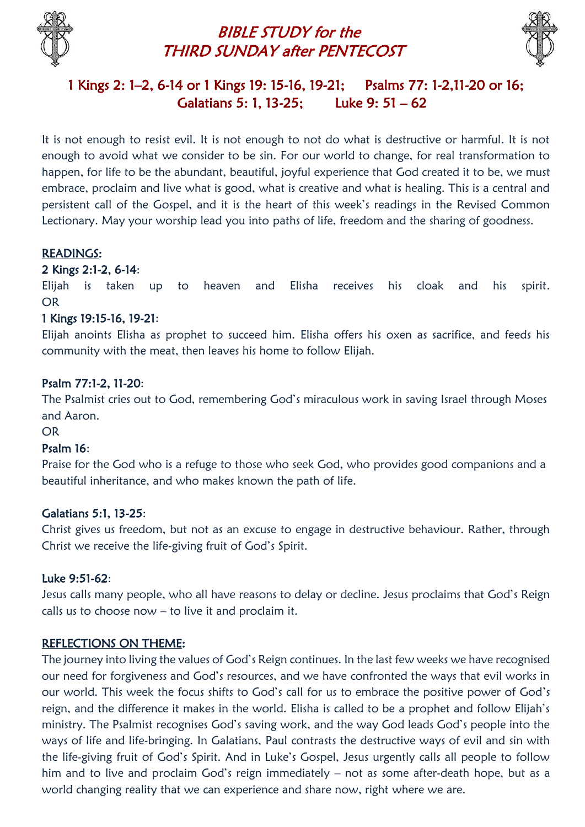

# BIBLE STUDY for the THIRD SUNDAY after PENTECOST



## 1 Kings 2: 1–2, 6-14 or 1 Kings 19: 15-16, 19-21; Psalms 77: 1-2,11-20 or 16; Galatians 5: 1, 13-25; Luke 9: 51 – 62

It is not enough to resist evil. It is not enough to not do what is destructive or harmful. It is not enough to avoid what we consider to be sin. For our world to change, for real transformation to happen, for life to be the abundant, beautiful, joyful experience that God created it to be, we must embrace, proclaim and live what is good, what is creative and what is healing. This is a central and persistent call of the Gospel, and it is the heart of this week's readings in the Revised Common Lectionary. May your worship lead you into paths of life, freedom and the sharing of goodness.

## READINGS:

## [2 Kings 2:1-2, 6-14:](https://www.biblegateway.com/passage/?search=2%20Kings%202:1-2,%206-14&version=CEB)

Elijah is taken up to heaven and Elisha receives his cloak and his spirit. OR

## [1 Kings 19:15-16, 19-21:](https://www.biblegateway.com/passage/?search=1%20Kings%2019:15-16,%2019-21&version=CEB)

Elijah anoints Elisha as prophet to succeed him. Elisha offers his oxen as sacrifice, and feeds his community with the meat, then leaves his home to follow Elijah.

### [Psalm 77:1-2, 11-20:](https://www.biblegateway.com/passage/?search=Psalm%2077:1-2,%2011-20&version=CEB)

The Psalmist cries out to God, remembering God's miraculous work in saving Israel through Moses and Aaron.

#### OR

#### [Psalm 16:](https://www.biblegateway.com/passage/?search=Psalm%2016&version=CEB)

Praise for the God who is a refuge to those who seek God, who provides good companions and a beautiful inheritance, and who makes known the path of life.

#### [Galatians 5:1, 13-25:](https://www.biblegateway.com/passage/?search=Galatians%205:1,%2013-25&version=CEB)

Christ gives us freedom, but not as an excuse to engage in destructive behaviour. Rather, through Christ we receive the life-giving fruit of God's Spirit.

#### [Luke 9:51-62:](https://www.biblegateway.com/passage/?search=Luke%209:51-62&version=CEB)

Jesus calls many people, who all have reasons to delay or decline. Jesus proclaims that God's Reign calls us to choose now – to live it and proclaim it.

#### REFLECTIONS ON THEME:

The journey into living the values of God's Reign continues. In the last few weeks we have recognised our need for forgiveness and God's resources, and we have confronted the ways that evil works in our world. This week the focus shifts to God's call for us to embrace the positive power of God's reign, and the difference it makes in the world. Elisha is called to be a prophet and follow Elijah's ministry. The Psalmist recognises God's saving work, and the way God leads God's people into the ways of life and life-bringing. In Galatians, Paul contrasts the destructive ways of evil and sin with the life-giving fruit of God's Spirit. And in Luke's Gospel, Jesus urgently calls all people to follow him and to live and proclaim God's reign immediately – not as some after-death hope, but as a world changing reality that we can experience and share now, right where we are.